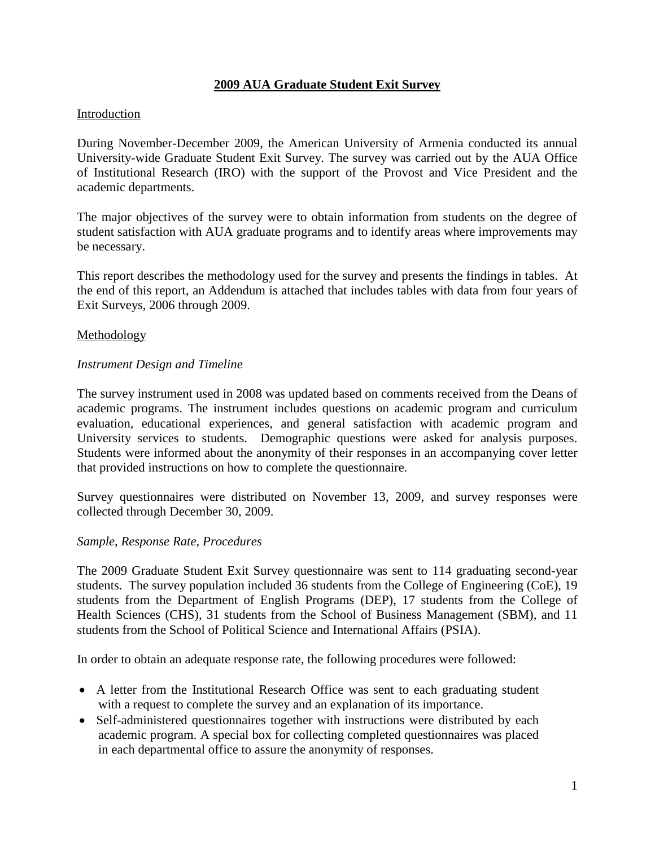### **2009 AUA Graduate Student Exit Survey**

### Introduction

During November-December 2009, the American University of Armenia conducted its annual University-wide Graduate Student Exit Survey. The survey was carried out by the AUA Office of Institutional Research (IRO) with the support of the Provost and Vice President and the academic departments.

The major objectives of the survey were to obtain information from students on the degree of student satisfaction with AUA graduate programs and to identify areas where improvements may be necessary.

This report describes the methodology used for the survey and presents the findings in tables. At the end of this report, an Addendum is attached that includes tables with data from four years of Exit Surveys, 2006 through 2009.

### Methodology

### *Instrument Design and Timeline*

The survey instrument used in 2008 was updated based on comments received from the Deans of academic programs. The instrument includes questions on academic program and curriculum evaluation, educational experiences, and general satisfaction with academic program and University services to students. Demographic questions were asked for analysis purposes. Students were informed about the anonymity of their responses in an accompanying cover letter that provided instructions on how to complete the questionnaire.

Survey questionnaires were distributed on November 13, 2009, and survey responses were collected through December 30, 2009.

#### *Sample, Response Rate, Procedures*

The 2009 Graduate Student Exit Survey questionnaire was sent to 114 graduating second-year students. The survey population included 36 students from the College of Engineering (CoE), 19 students from the Department of English Programs (DEP), 17 students from the College of Health Sciences (CHS), 31 students from the School of Business Management (SBM), and 11 students from the School of Political Science and International Affairs (PSIA).

In order to obtain an adequate response rate, the following procedures were followed:

- A letter from the Institutional Research Office was sent to each graduating student with a request to complete the survey and an explanation of its importance.
- Self-administered questionnaires together with instructions were distributed by each academic program. A special box for collecting completed questionnaires was placed in each departmental office to assure the anonymity of responses.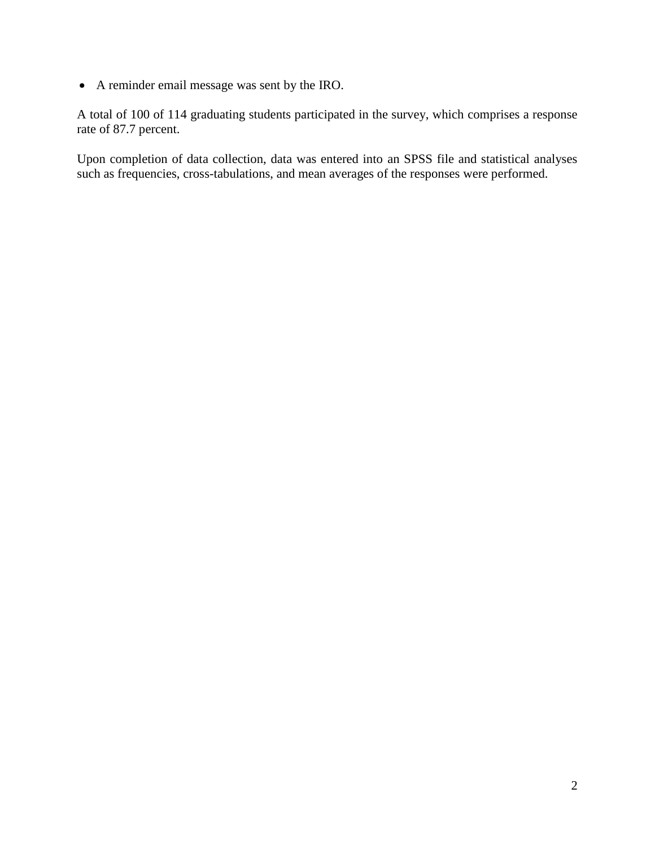A reminder email message was sent by the IRO.

A total of 100 of 114 graduating students participated in the survey, which comprises a response rate of 87.7 percent.

Upon completion of data collection, data was entered into an SPSS file and statistical analyses such as frequencies, cross-tabulations, and mean averages of the responses were performed.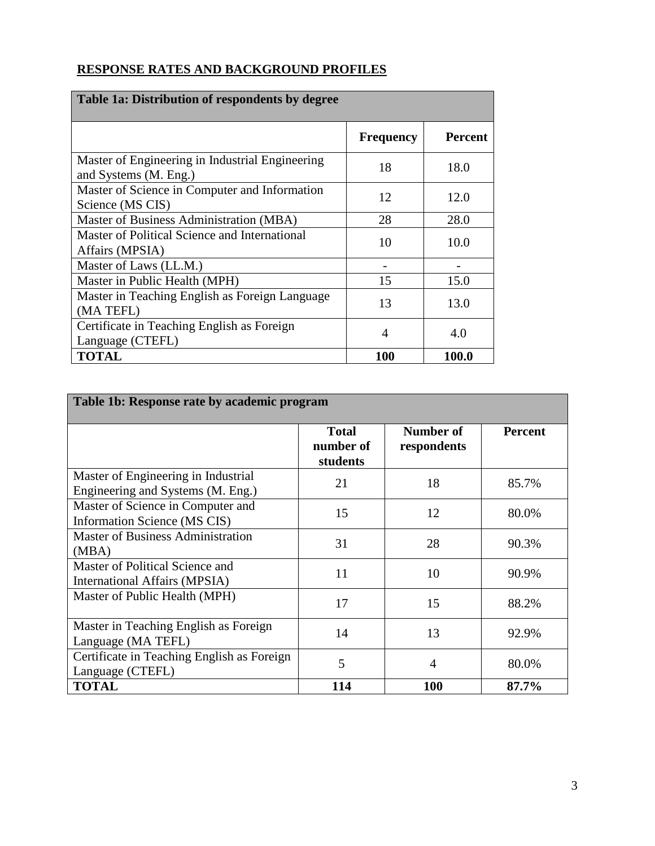## **RESPONSE RATES AND BACKGROUND PROFILES**

| Table 1a: Distribution of respondents by degree                          |                  |                |  |  |
|--------------------------------------------------------------------------|------------------|----------------|--|--|
|                                                                          | <b>Frequency</b> | <b>Percent</b> |  |  |
| Master of Engineering in Industrial Engineering<br>and Systems (M. Eng.) | 18               | 18.0           |  |  |
| Master of Science in Computer and Information<br>Science (MS CIS)        | 12               | 12.0           |  |  |
| Master of Business Administration (MBA)                                  | 28               | 28.0           |  |  |
| Master of Political Science and International<br>Affairs (MPSIA)         | 10               | 10.0           |  |  |
| Master of Laws (LL.M.)                                                   |                  |                |  |  |
| Master in Public Health (MPH)                                            | 15               | 15.0           |  |  |
| Master in Teaching English as Foreign Language<br>(MA TEFL)              | 13               | 13.0           |  |  |
| Certificate in Teaching English as Foreign<br>Language (CTEFL)           | $\overline{A}$   | 4.0            |  |  |
| <b>TOTAL</b>                                                             | 100              | 100.0          |  |  |

| Table 1b: Response rate by academic program                              |                                       |                          |                |  |
|--------------------------------------------------------------------------|---------------------------------------|--------------------------|----------------|--|
|                                                                          | <b>Total</b><br>number of<br>students | Number of<br>respondents | <b>Percent</b> |  |
| Master of Engineering in Industrial<br>Engineering and Systems (M. Eng.) | 21                                    | 18                       | 85.7%          |  |
| Master of Science in Computer and<br>Information Science (MS CIS)        | 15                                    | 12                       | 80.0%          |  |
| <b>Master of Business Administration</b><br>(MBA)                        | 31                                    | 28                       | 90.3%          |  |
| Master of Political Science and<br>International Affairs (MPSIA)         | 11                                    | 10                       | 90.9%          |  |
| Master of Public Health (MPH)                                            | 17                                    | 15                       | 88.2%          |  |
| Master in Teaching English as Foreign<br>Language (MA TEFL)              | 14                                    | 13                       | 92.9%          |  |
| Certificate in Teaching English as Foreign<br>Language (CTEFL)           | 5                                     | 4                        | 80.0%          |  |
| <b>TOTAL</b>                                                             | 114                                   | 100                      | 87.7%          |  |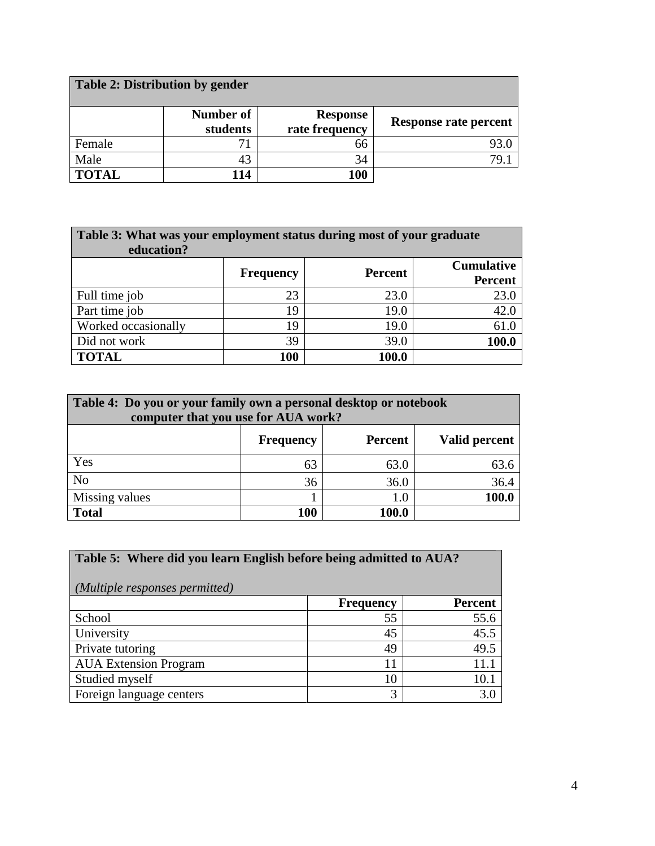| Table 2: Distribution by gender |                       |                                   |                       |
|---------------------------------|-----------------------|-----------------------------------|-----------------------|
|                                 | Number of<br>students | <b>Response</b><br>rate frequency | Response rate percent |
| Female                          |                       | 66                                | 93.0                  |
| Male                            | 43                    | 34                                | 79.1                  |
| <b>TOTAL</b>                    | 114                   | 100                               |                       |

| Table 3: What was your employment status during most of your graduate<br>education? |     |       |       |  |  |  |  |
|-------------------------------------------------------------------------------------|-----|-------|-------|--|--|--|--|
| <b>Cumulative</b><br><b>Percent</b><br><b>Frequency</b><br><b>Percent</b>           |     |       |       |  |  |  |  |
| Full time job                                                                       | 23  | 23.0  | 23.0  |  |  |  |  |
| Part time job                                                                       | 19  | 19.0  | 42.0  |  |  |  |  |
| Worked occasionally                                                                 | 19  | 19.0  | 61.0  |  |  |  |  |
| Did not work                                                                        | 39  | 39.0  | 100.0 |  |  |  |  |
| <b>TOTAL</b>                                                                        | 100 | 100.0 |       |  |  |  |  |

| Table 4: Do you or your family own a personal desktop or notebook<br>computer that you use for AUA work? |                    |       |      |  |  |  |  |
|----------------------------------------------------------------------------------------------------------|--------------------|-------|------|--|--|--|--|
| Valid percent<br>Percent<br><b>Frequency</b>                                                             |                    |       |      |  |  |  |  |
| Yes                                                                                                      | 63                 | 63.0  | 63.6 |  |  |  |  |
| N <sub>o</sub>                                                                                           | 36.4<br>36<br>36.0 |       |      |  |  |  |  |
| 100.0<br>Missing values<br>1.0                                                                           |                    |       |      |  |  |  |  |
| <b>Total</b>                                                                                             | 100                | 100.0 |      |  |  |  |  |

| Table 5: Where did you learn English before being admitted to AUA?<br>(Multiple responses permitted) |                  |                |  |  |  |
|------------------------------------------------------------------------------------------------------|------------------|----------------|--|--|--|
|                                                                                                      | <b>Frequency</b> | <b>Percent</b> |  |  |  |
| School                                                                                               | 55               | 55.6           |  |  |  |
| University                                                                                           | 45               | 45.5           |  |  |  |
| Private tutoring                                                                                     | 49               | 49.5           |  |  |  |
| <b>AUA</b> Extension Program                                                                         | 11               | 11.1           |  |  |  |
| Studied myself                                                                                       | 10               | 10.1           |  |  |  |
| Foreign language centers                                                                             | 3                | 3.0            |  |  |  |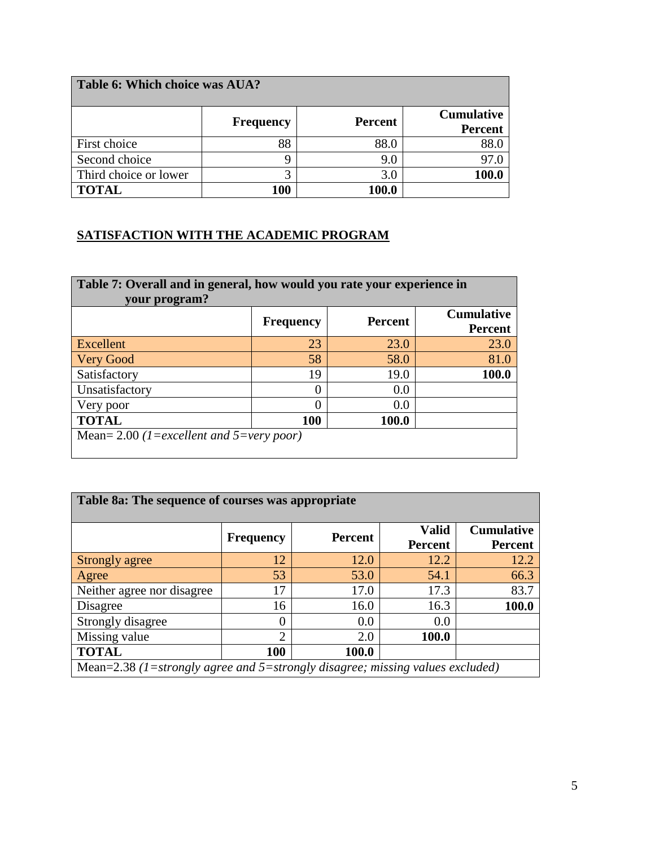| Table 6: Which choice was AUA? |                  |                |                                     |  |  |  |
|--------------------------------|------------------|----------------|-------------------------------------|--|--|--|
|                                | <b>Frequency</b> | <b>Percent</b> | <b>Cumulative</b><br><b>Percent</b> |  |  |  |
| First choice                   | 88               | 88.0           | 88.0                                |  |  |  |
| Second choice                  |                  | 9.0            |                                     |  |  |  |
| Third choice or lower          | 2                | 3.0            | 100.0                               |  |  |  |
| <b>TOTAL</b>                   | 100              | 100.0          |                                     |  |  |  |

## **SATISFACTION WITH THE ACADEMIC PROGRAM**

| Table 7: Overall and in general, how would you rate your experience in<br>your program? |                  |                |                                     |  |  |  |  |
|-----------------------------------------------------------------------------------------|------------------|----------------|-------------------------------------|--|--|--|--|
|                                                                                         | <b>Frequency</b> | <b>Percent</b> | <b>Cumulative</b><br><b>Percent</b> |  |  |  |  |
| Excellent                                                                               | 23               | 23.0           | 23.0                                |  |  |  |  |
| Very Good                                                                               | 58               | 58.0           | 81.0                                |  |  |  |  |
| Satisfactory                                                                            | 19               | 19.0           | 100.0                               |  |  |  |  |
| Unsatisfactory                                                                          |                  | 0.0            |                                     |  |  |  |  |
| Very poor                                                                               |                  | 0.0            |                                     |  |  |  |  |
| <b>TOTAL</b><br>100<br>100.0                                                            |                  |                |                                     |  |  |  |  |
| Mean= 2.00 (1=excellent and 5=very poor)                                                |                  |                |                                     |  |  |  |  |

| Table 8a: The sequence of courses was appropriate                             |                  |                |                                |                                     |  |
|-------------------------------------------------------------------------------|------------------|----------------|--------------------------------|-------------------------------------|--|
|                                                                               | <b>Frequency</b> | <b>Percent</b> | <b>Valid</b><br><b>Percent</b> | <b>Cumulative</b><br><b>Percent</b> |  |
| Strongly agree                                                                | 12               | 12.0           | 12.2                           | 12.2                                |  |
| Agree                                                                         | 53               | 53.0           | 54.1                           | 66.3                                |  |
| Neither agree nor disagree                                                    | 17               | 17.0           | 17.3                           | 83.7                                |  |
| Disagree                                                                      | 16               | 16.0           | 16.3                           | <b>100.0</b>                        |  |
| Strongly disagree                                                             | 0                | 0.0            | 0.0                            |                                     |  |
| Missing value                                                                 | $\overline{2}$   | 2.0            | 100.0                          |                                     |  |
| <b>TOTAL</b>                                                                  | <b>100</b>       | 100.0          |                                |                                     |  |
| Mean=2.38 (1=strongly agree and 5=strongly disagree; missing values excluded) |                  |                |                                |                                     |  |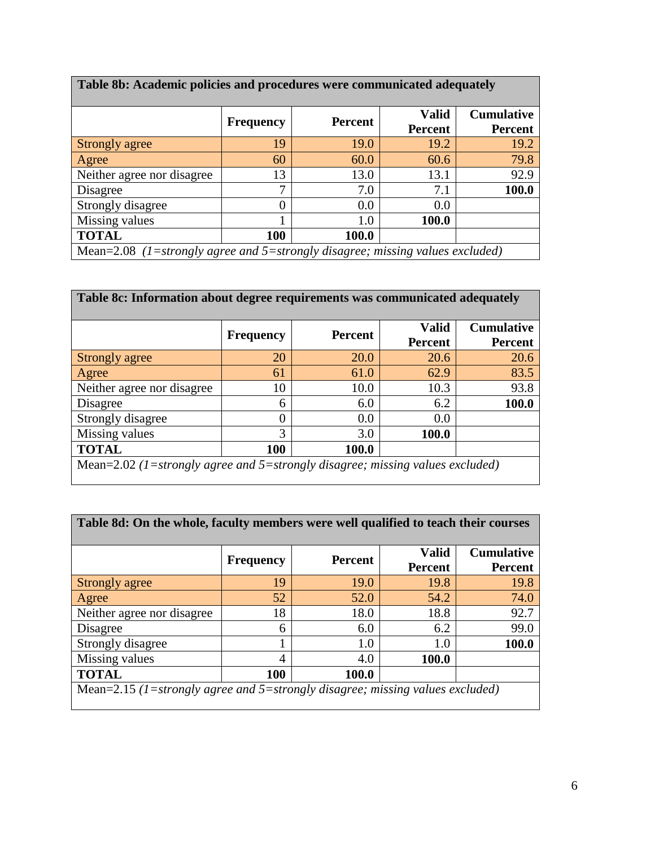| Table 8b: Academic policies and procedures were communicated adequately       |                  |         |              |                   |  |
|-------------------------------------------------------------------------------|------------------|---------|--------------|-------------------|--|
|                                                                               | <b>Frequency</b> | Percent | <b>Valid</b> | <b>Cumulative</b> |  |
|                                                                               |                  |         | Percent      | <b>Percent</b>    |  |
| Strongly agree                                                                | 19               | 19.0    | 19.2         | 19.2              |  |
| Agree                                                                         | 60               | 60.0    | 60.6         | 79.8              |  |
| Neither agree nor disagree                                                    | 13               | 13.0    | 13.1         | 92.9              |  |
| Disagree                                                                      | 7                | 7.0     | 7.1          | 100.0             |  |
| Strongly disagree                                                             | $\Omega$         | 0.0     | 0.0          |                   |  |
| Missing values                                                                |                  | 1.0     | 100.0        |                   |  |
| <b>TOTAL</b>                                                                  | 100              | 100.0   |              |                   |  |
| Mean=2.08 (1=strongly agree and 5=strongly disagree; missing values excluded) |                  |         |              |                   |  |

| Table 8c: Information about degree requirements was communicated adequately   |                  |                |                                |                                     |  |  |  |
|-------------------------------------------------------------------------------|------------------|----------------|--------------------------------|-------------------------------------|--|--|--|
|                                                                               | <b>Frequency</b> | <b>Percent</b> | <b>Valid</b><br><b>Percent</b> | <b>Cumulative</b><br><b>Percent</b> |  |  |  |
| Strongly agree                                                                | 20               | 20.0           | 20.6                           | 20.6                                |  |  |  |
| Agree                                                                         | 61               | 61.0           | 62.9                           | 83.5                                |  |  |  |
| Neither agree nor disagree                                                    | 10               | 10.0           | 10.3                           | 93.8                                |  |  |  |
| Disagree                                                                      | 6                | 6.0            | 6.2                            | 100.0                               |  |  |  |
| Strongly disagree                                                             |                  | 0.0            | 0.0                            |                                     |  |  |  |
| Missing values                                                                | 3                | 3.0            | 100.0                          |                                     |  |  |  |
| <b>TOTAL</b><br><b>100</b><br>100.0                                           |                  |                |                                |                                     |  |  |  |
| Mean=2.02 (1=strongly agree and 5=strongly disagree; missing values excluded) |                  |                |                                |                                     |  |  |  |

| Table 8d: On the whole, faculty members were well qualified to teach their courses |                  |                |                                |                                     |  |  |
|------------------------------------------------------------------------------------|------------------|----------------|--------------------------------|-------------------------------------|--|--|
|                                                                                    | <b>Frequency</b> | <b>Percent</b> | <b>Valid</b><br><b>Percent</b> | <b>Cumulative</b><br><b>Percent</b> |  |  |
| Strongly agree                                                                     | 19               | 19.0           | 19.8                           | 19.8                                |  |  |
| Agree                                                                              | 52               | 52.0           | 54.2                           | 74.0                                |  |  |
| Neither agree nor disagree                                                         | 18               | 18.0           | 18.8                           | 92.7                                |  |  |
| Disagree                                                                           | 6                | 6.0            | 6.2                            | 99.0                                |  |  |
| Strongly disagree                                                                  |                  | 1.0            | 1.0                            | 100.0                               |  |  |
| Missing values                                                                     | 4                | 4.0            | 100.0                          |                                     |  |  |
| <b>TOTAL</b><br><b>100</b><br>100.0                                                |                  |                |                                |                                     |  |  |
| Mean=2.15 (1=strongly agree and 5=strongly disagree; missing values excluded)      |                  |                |                                |                                     |  |  |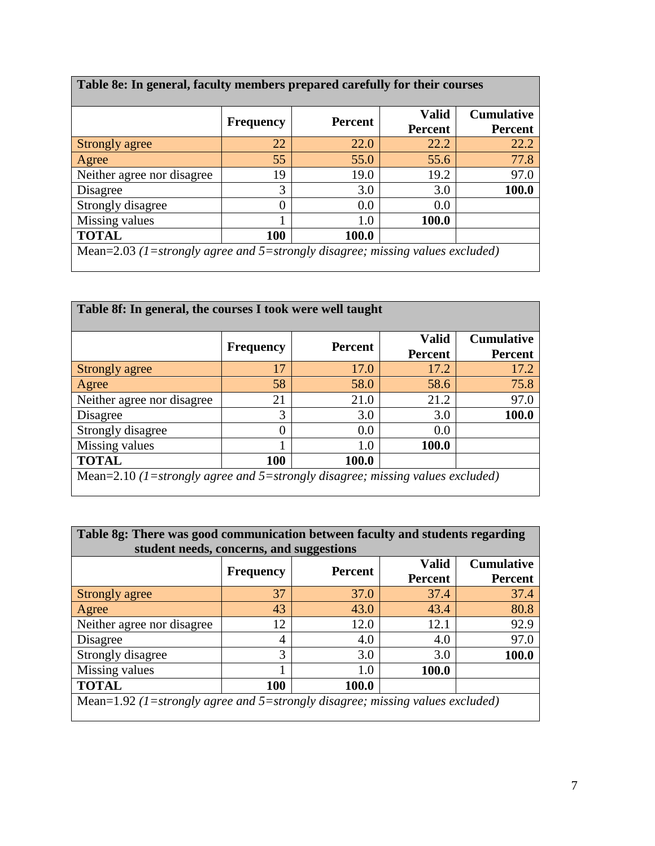|                            |                  | Percent | <b>Valid</b>   | <b>Cumulative</b> |
|----------------------------|------------------|---------|----------------|-------------------|
|                            | <b>Frequency</b> |         | <b>Percent</b> | <b>Percent</b>    |
| Strongly agree             | 22               | 22.0    | 22.2           | 22.2              |
| Agree                      | 55               | 55.0    | 55.6           | 77.8              |
| Neither agree nor disagree | 19               | 19.0    | 19.2           | 97.0              |
| Disagree                   | 3                | 3.0     | 3.0            | 100.0             |
| Strongly disagree          | 0                | 0.0     | 0.0            |                   |
| Missing values             |                  | 1.0     | 100.0          |                   |
| <b>TOTAL</b>               | 100              | 100.0   |                |                   |

 $\mathbf{r}$ 

| Table 8f: In general, the courses I took were well taught                     |                  |                |                                |                                     |  |  |
|-------------------------------------------------------------------------------|------------------|----------------|--------------------------------|-------------------------------------|--|--|
|                                                                               | <b>Frequency</b> | <b>Percent</b> | <b>Valid</b><br><b>Percent</b> | <b>Cumulative</b><br><b>Percent</b> |  |  |
| Strongly agree                                                                | 17               | 17.0           | 17.2                           | 17.2                                |  |  |
| Agree                                                                         | 58               | 58.0           | 58.6                           | 75.8                                |  |  |
| Neither agree nor disagree                                                    | 21               | 21.0           | 21.2                           | 97.0                                |  |  |
| Disagree                                                                      | 3                | 3.0            | 3.0                            | 100.0                               |  |  |
| Strongly disagree                                                             | 0                | 0.0            | 0.0                            |                                     |  |  |
| Missing values                                                                |                  | 1.0            | 100.0                          |                                     |  |  |
| <b>TOTAL</b><br>100<br>100.0                                                  |                  |                |                                |                                     |  |  |
| Mean=2.10 (1=strongly agree and 5=strongly disagree; missing values excluded) |                  |                |                                |                                     |  |  |

| Table 8g: There was good communication between faculty and students regarding<br>student needs, concerns, and suggestions |                  |                |                         |                                     |  |  |
|---------------------------------------------------------------------------------------------------------------------------|------------------|----------------|-------------------------|-------------------------------------|--|--|
|                                                                                                                           | <b>Frequency</b> | <b>Percent</b> | <b>Valid</b><br>Percent | <b>Cumulative</b><br><b>Percent</b> |  |  |
| Strongly agree                                                                                                            | 37               | 37.0           | 37.4                    | 37.4                                |  |  |
| Agree                                                                                                                     | 43               | 43.0           | 43.4                    | 80.8                                |  |  |
| Neither agree nor disagree                                                                                                | 12               | 12.0           | 12.1                    | 92.9                                |  |  |
| Disagree                                                                                                                  | 4                | 4.0            | 4.0                     | 97.0                                |  |  |
| Strongly disagree                                                                                                         | 3                | 3.0            | 3.0                     | 100.0                               |  |  |
| Missing values                                                                                                            |                  | 1.0            | 100.0                   |                                     |  |  |
| <b>TOTAL</b><br>100<br>100.0                                                                                              |                  |                |                         |                                     |  |  |
| Mean=1.92 (1=strongly agree and 5=strongly disagree; missing values excluded)                                             |                  |                |                         |                                     |  |  |

 $\blacksquare$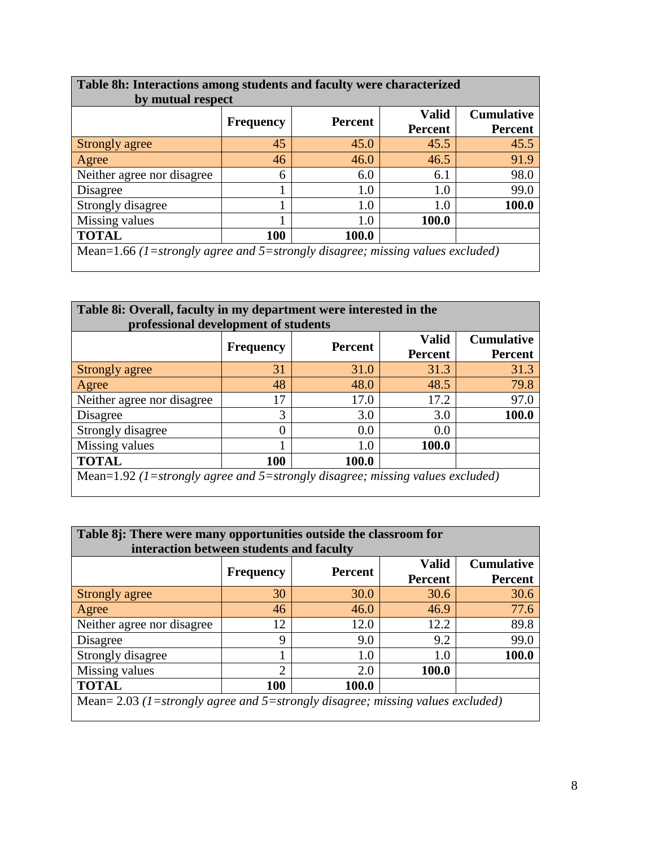| Table 8h: Interactions among students and faculty were characterized<br>by mutual respect |                  |                |                                |                                     |  |
|-------------------------------------------------------------------------------------------|------------------|----------------|--------------------------------|-------------------------------------|--|
|                                                                                           | <b>Frequency</b> | <b>Percent</b> | <b>Valid</b><br><b>Percent</b> | <b>Cumulative</b><br><b>Percent</b> |  |
| Strongly agree                                                                            | 45               | 45.0           | 45.5                           | 45.5                                |  |
| Agree                                                                                     | 46               | 46.0           | 46.5                           | 91.9                                |  |
| Neither agree nor disagree                                                                | 6                | 6.0            | 6.1                            | 98.0                                |  |
| Disagree                                                                                  |                  | 1.0            | 1.0                            | 99.0                                |  |
| Strongly disagree                                                                         |                  | 1.0            | 1.0                            | 100.0                               |  |
| Missing values                                                                            |                  | 1.0            | 100.0                          |                                     |  |
| <b>TOTAL</b><br>100<br>100.0                                                              |                  |                |                                |                                     |  |
| Mean=1.66 (1=strongly agree and 5=strongly disagree; missing values excluded)             |                  |                |                                |                                     |  |

| Table 8i: Overall, faculty in my department were interested in the<br>professional development of students |                  |                |                                |                                     |  |  |
|------------------------------------------------------------------------------------------------------------|------------------|----------------|--------------------------------|-------------------------------------|--|--|
|                                                                                                            | <b>Frequency</b> | <b>Percent</b> | <b>Valid</b><br><b>Percent</b> | <b>Cumulative</b><br><b>Percent</b> |  |  |
| Strongly agree                                                                                             | 31               | 31.0           | 31.3                           | 31.3                                |  |  |
| Agree                                                                                                      | 48               | 48.0           | 48.5                           | 79.8                                |  |  |
| Neither agree nor disagree                                                                                 | 17               | 17.0           | 17.2                           | 97.0                                |  |  |
| Disagree                                                                                                   | 3                | 3.0            | 3.0                            | 100.0                               |  |  |
| Strongly disagree                                                                                          | 0                | 0.0            | 0.0                            |                                     |  |  |
| Missing values                                                                                             |                  | 1.0            | 100.0                          |                                     |  |  |
| <b>TOTAL</b><br><b>100</b><br>100.0                                                                        |                  |                |                                |                                     |  |  |
| Mean=1.92 (1=strongly agree and 5=strongly disagree; missing values excluded)                              |                  |                |                                |                                     |  |  |

| Table 8j: There were many opportunities outside the classroom for<br>interaction between students and faculty |                  |                |                                |                                     |  |  |
|---------------------------------------------------------------------------------------------------------------|------------------|----------------|--------------------------------|-------------------------------------|--|--|
|                                                                                                               | <b>Frequency</b> | <b>Percent</b> | <b>Valid</b><br><b>Percent</b> | <b>Cumulative</b><br><b>Percent</b> |  |  |
| Strongly agree                                                                                                | 30               | 30.0           | 30.6                           | 30.6                                |  |  |
| Agree                                                                                                         | 46               | 46.0           | 46.9                           | 77.6                                |  |  |
| Neither agree nor disagree                                                                                    | 12               | 12.0           | 12.2                           | 89.8                                |  |  |
| Disagree                                                                                                      | 9                | 9.0            | 9.2                            | 99.0                                |  |  |
| Strongly disagree                                                                                             |                  | 1.0            | 1.0                            | 100.0                               |  |  |
| Missing values                                                                                                | ⌒                | 2.0            | 100.0                          |                                     |  |  |
| <b>TOTAL</b><br>100<br>100.0                                                                                  |                  |                |                                |                                     |  |  |
| Mean= $2.03$ (1=strongly agree and 5=strongly disagree; missing values excluded)                              |                  |                |                                |                                     |  |  |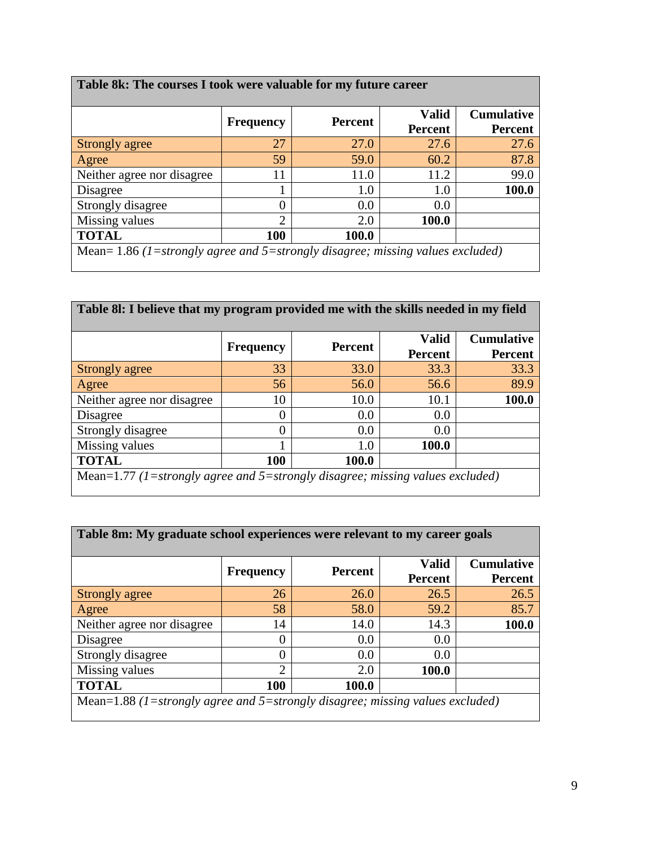| Table 8k: The courses I took were valuable for my future career                  |                  |                |                                |                                     |  |  |
|----------------------------------------------------------------------------------|------------------|----------------|--------------------------------|-------------------------------------|--|--|
|                                                                                  | <b>Frequency</b> | <b>Percent</b> | <b>Valid</b><br><b>Percent</b> | <b>Cumulative</b><br><b>Percent</b> |  |  |
| Strongly agree                                                                   | 27               | 27.0           | 27.6                           | 27.6                                |  |  |
| Agree                                                                            | 59               | 59.0           | 60.2                           | 87.8                                |  |  |
| Neither agree nor disagree                                                       |                  | 11.0           | 11.2                           | 99.0                                |  |  |
| Disagree                                                                         |                  | 1.0            | 1.0                            | 100.0                               |  |  |
| Strongly disagree                                                                |                  | 0.0            | 0.0                            |                                     |  |  |
| Missing values                                                                   | $\mathfrak{D}$   | 2.0            | 100.0                          |                                     |  |  |
| <b>TOTAL</b><br>100<br>100.0                                                     |                  |                |                                |                                     |  |  |
| Mean= $1.86$ (1=strongly agree and 5=strongly disagree; missing values excluded) |                  |                |                                |                                     |  |  |

| Table 81: I believe that my program provided me with the skills needed in my field |                  |                |                                |                                     |  |  |
|------------------------------------------------------------------------------------|------------------|----------------|--------------------------------|-------------------------------------|--|--|
|                                                                                    | <b>Frequency</b> | <b>Percent</b> | <b>Valid</b><br><b>Percent</b> | <b>Cumulative</b><br><b>Percent</b> |  |  |
| Strongly agree                                                                     | 33               | 33.0           | 33.3                           | 33.3                                |  |  |
| Agree                                                                              | 56               | 56.0           | 56.6                           | 89.9                                |  |  |
| Neither agree nor disagree                                                         | 10               | 10.0           | 10.1                           | <b>100.0</b>                        |  |  |
| Disagree                                                                           | 0                | 0.0            | 0.0                            |                                     |  |  |
| Strongly disagree                                                                  | 0                | 0.0            | 0.0                            |                                     |  |  |
| Missing values                                                                     |                  | 1.0            | 100.0                          |                                     |  |  |
| <b>TOTAL</b><br>100<br>100.0                                                       |                  |                |                                |                                     |  |  |
| Mean=1.77 (1=strongly agree and 5=strongly disagree; missing values excluded)      |                  |                |                                |                                     |  |  |

| Table 8m: My graduate school experiences were relevant to my career goals     |                             |                |                         |                                     |
|-------------------------------------------------------------------------------|-----------------------------|----------------|-------------------------|-------------------------------------|
|                                                                               | <b>Frequency</b>            | <b>Percent</b> | <b>Valid</b><br>Percent | <b>Cumulative</b><br><b>Percent</b> |
| Strongly agree                                                                | 26                          | 26.0           | 26.5                    | 26.5                                |
| Agree                                                                         | 58                          | 58.0           | 59.2                    | 85.7                                |
| Neither agree nor disagree                                                    | 14                          | 14.0           | 14.3                    | 100.0                               |
| Disagree                                                                      | $\Omega$                    | 0.0            | 0.0                     |                                     |
| Strongly disagree                                                             | $\Omega$                    | 0.0            | 0.0                     |                                     |
| Missing values                                                                | $\mathcal{D}_{\mathcal{L}}$ | 2.0            | 100.0                   |                                     |
| <b>TOTAL</b>                                                                  | 100                         | 100.0          |                         |                                     |
| Mean=1.88 (1=strongly agree and 5=strongly disagree; missing values excluded) |                             |                |                         |                                     |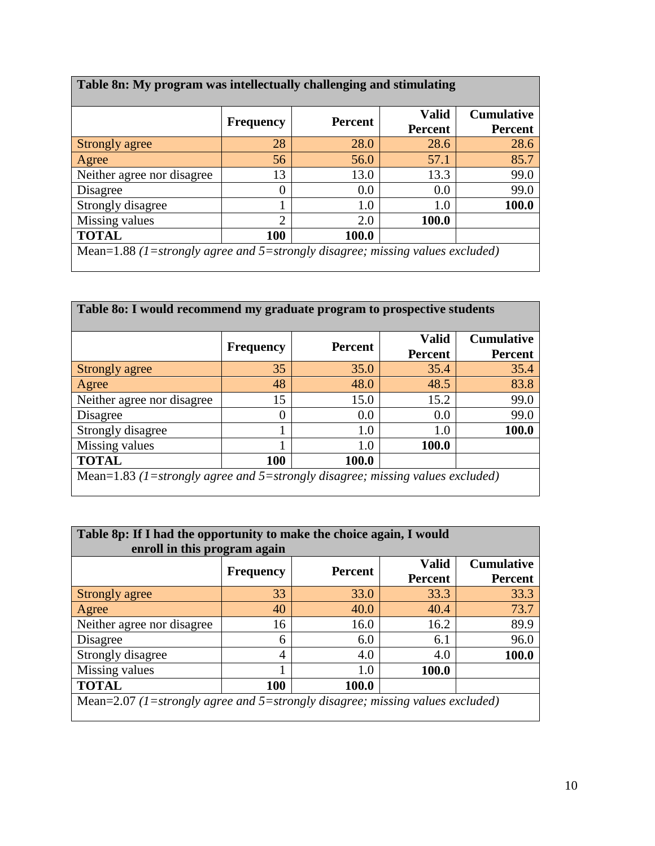| Table 8n: My program was intellectually challenging and stimulating           |                  |                |                                |                                     |  |  |
|-------------------------------------------------------------------------------|------------------|----------------|--------------------------------|-------------------------------------|--|--|
|                                                                               | <b>Frequency</b> | <b>Percent</b> | <b>Valid</b><br><b>Percent</b> | <b>Cumulative</b><br><b>Percent</b> |  |  |
| Strongly agree                                                                | 28               | 28.0           | 28.6                           | 28.6                                |  |  |
| Agree                                                                         | 56               | 56.0           | 57.1                           | 85.7                                |  |  |
| Neither agree nor disagree                                                    | 13               | 13.0           | 13.3                           | 99.0                                |  |  |
| Disagree                                                                      |                  | 0.0            | 0.0                            | 99.0                                |  |  |
| Strongly disagree                                                             |                  | 1.0            | 1.0                            | 100.0                               |  |  |
| Missing values                                                                | $\mathfrak{D}$   | 2.0            | <b>100.0</b>                   |                                     |  |  |
| <b>TOTAL</b><br>100<br>100.0                                                  |                  |                |                                |                                     |  |  |
| Mean=1.88 (1=strongly agree and 5=strongly disagree; missing values excluded) |                  |                |                                |                                     |  |  |

| Table 80: I would recommend my graduate program to prospective students       |                  |                |                                |                                     |  |  |
|-------------------------------------------------------------------------------|------------------|----------------|--------------------------------|-------------------------------------|--|--|
|                                                                               | <b>Frequency</b> | <b>Percent</b> | <b>Valid</b><br><b>Percent</b> | <b>Cumulative</b><br><b>Percent</b> |  |  |
| Strongly agree                                                                | 35               | 35.0           | 35.4                           | 35.4                                |  |  |
| Agree                                                                         | 48               | 48.0           | 48.5                           | 83.8                                |  |  |
| Neither agree nor disagree                                                    | 15               | 15.0           | 15.2                           | 99.0                                |  |  |
| Disagree                                                                      |                  | 0.0            | 0.0                            | 99.0                                |  |  |
| Strongly disagree                                                             |                  | 1.0            | 1.0                            | 100.0                               |  |  |
| Missing values                                                                |                  | 1.0            | 100.0                          |                                     |  |  |
| <b>TOTAL</b><br>100<br>100.0                                                  |                  |                |                                |                                     |  |  |
| Mean=1.83 (1=strongly agree and 5=strongly disagree; missing values excluded) |                  |                |                                |                                     |  |  |

| Table 8p: If I had the opportunity to make the choice again, I would<br>enroll in this program again |                  |                |                         |                                     |  |  |
|------------------------------------------------------------------------------------------------------|------------------|----------------|-------------------------|-------------------------------------|--|--|
|                                                                                                      | <b>Frequency</b> | <b>Percent</b> | <b>Valid</b><br>Percent | <b>Cumulative</b><br><b>Percent</b> |  |  |
| Strongly agree                                                                                       | 33               | 33.0           | 33.3                    | 33.3                                |  |  |
| Agree                                                                                                | 40               | 40.0           | 40.4                    | 73.7                                |  |  |
| Neither agree nor disagree                                                                           | 16               | 16.0           | 16.2                    | 89.9                                |  |  |
| Disagree                                                                                             | 6                | 6.0            | 6.1                     | 96.0                                |  |  |
| Strongly disagree                                                                                    | 4                | 4.0            | 4.0                     | 100.0                               |  |  |
| Missing values                                                                                       |                  | 1.0            | 100.0                   |                                     |  |  |
| <b>TOTAL</b><br>100<br>100.0                                                                         |                  |                |                         |                                     |  |  |
| Mean=2.07 (1=strongly agree and 5=strongly disagree; missing values excluded)                        |                  |                |                         |                                     |  |  |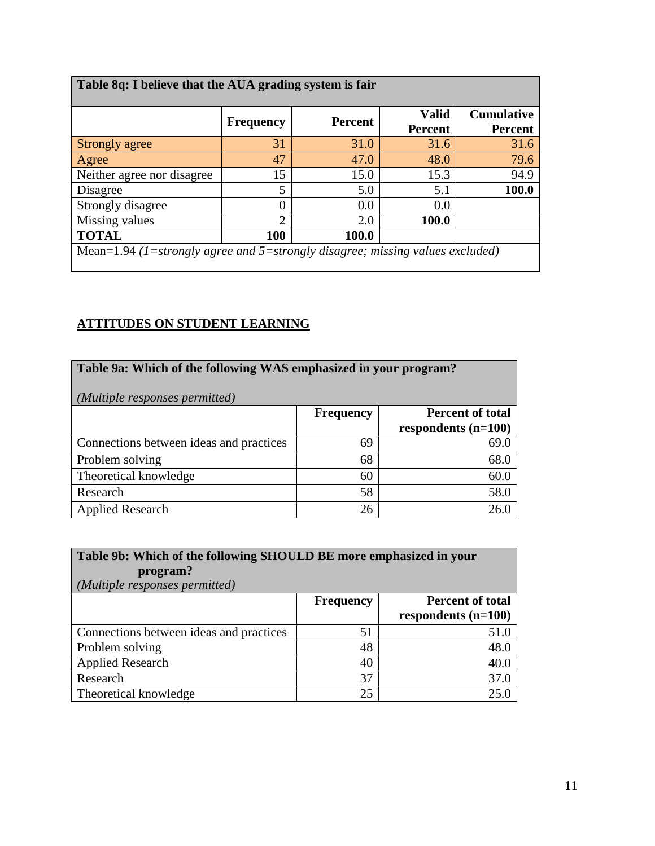| Table 8q: I believe that the AUA grading system is fair                       |                  |                |                                |                                     |
|-------------------------------------------------------------------------------|------------------|----------------|--------------------------------|-------------------------------------|
|                                                                               | <b>Frequency</b> | <b>Percent</b> | <b>Valid</b><br><b>Percent</b> | <b>Cumulative</b><br><b>Percent</b> |
| Strongly agree                                                                | 31               | 31.0           | 31.6                           | 31.6                                |
| Agree                                                                         | 47               | 47.0           | 48.0                           | 79.6                                |
| Neither agree nor disagree                                                    | 15               | 15.0           | 15.3                           | 94.9                                |
| Disagree                                                                      | 5                | 5.0            | 5.1                            | 100.0                               |
| Strongly disagree                                                             | $\theta$         | 0.0            | 0.0                            |                                     |
| Missing values                                                                | っ                | 2.0            | 100.0                          |                                     |
| <b>TOTAL</b>                                                                  | 100              | 100.0          |                                |                                     |
| Mean=1.94 (1=strongly agree and 5=strongly disagree; missing values excluded) |                  |                |                                |                                     |

## **ATTITUDES ON STUDENT LEARNING**

| Table 9a: Which of the following WAS emphasized in your program?<br>(Multiple responses permitted) |                  |                         |  |  |  |
|----------------------------------------------------------------------------------------------------|------------------|-------------------------|--|--|--|
|                                                                                                    | <b>Frequency</b> | <b>Percent of total</b> |  |  |  |
|                                                                                                    |                  | respondents $(n=100)$   |  |  |  |
| Connections between ideas and practices                                                            | 69               | 69.0                    |  |  |  |
| Problem solving                                                                                    | 68               | 68.0                    |  |  |  |
| Theoretical knowledge                                                                              | 60               | 60.0                    |  |  |  |
| Research                                                                                           | 58               | 58.0                    |  |  |  |
| <b>Applied Research</b>                                                                            | 26               | 26.0                    |  |  |  |

| Table 9b: Which of the following SHOULD BE more emphasized in your<br>program?<br>(Multiple responses permitted) |                  |                                                  |  |  |  |  |
|------------------------------------------------------------------------------------------------------------------|------------------|--------------------------------------------------|--|--|--|--|
|                                                                                                                  | <b>Frequency</b> | <b>Percent of total</b><br>respondents $(n=100)$ |  |  |  |  |
| Connections between ideas and practices                                                                          | 51               | 51.0                                             |  |  |  |  |
| Problem solving                                                                                                  | 48               | 48.0                                             |  |  |  |  |
| <b>Applied Research</b>                                                                                          | 40               | 40.0                                             |  |  |  |  |
| Research                                                                                                         | 37               | 37.0                                             |  |  |  |  |
| Theoretical knowledge                                                                                            | 25               | 25.0                                             |  |  |  |  |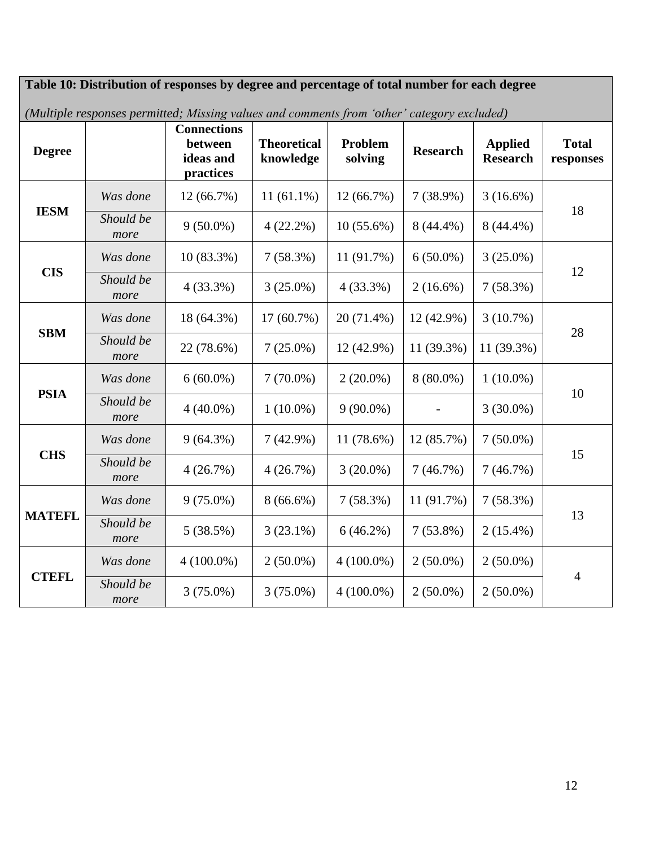**Table 10: Distribution of responses by degree and percentage of total number for each degree** *(Multiple responses permitted; Missing values and comments from 'other' category excluded)* **Degree Connections between ideas and practices Theoretical knowledge Problem Problem** Research **Applied**<br> **Research** Research **Total responses IESM** *Was done* | 12 (66.7%) | 11 (61.1%) | 12 (66.7%) | 7 (38.9%) | 3 (16.6%) Should be  $\frac{1}{2}(62.8\%)$   $\frac{1}{2}(32.3\%)$   $\frac{1}{2}(56.6\%)$   $\frac{1}{2}(44.4\%)$   $\frac{1}{2}(44.4\%)$   $\frac{1}{2}(44.4\%)$ *more*  $9(50.0\%)$   $\mid$  4(22.2%)  $\mid$  10(55.6%)  $\mid$  8(44.4%)  $\mid$  8(44.4%) **CIS** *Was done* | 10 (83.3%) | 7 (58.3%) | 11 (91.7%) | 6 (50.0%) | 3 (25.0%) Should be  $\frac{1(22.20)}{2(25.00)}$   $\frac{2(25.00)}{2(25.20)}$   $\frac{2(16.60)}{2(16.60)}$   $\frac{7(58.20)}{2(58.20)}$   $\frac{12}{2(58.20)}$ *more*  $4 (33.3\%) \left[ 3 (25.0\%) \left[ 4 (33.3\%) \right] \left[ 2 (16.6\%) \right] \left[ 7 (58.3\%) \right]$ **SBM** *Was done* | 18 (64.3%) | 17 (60.7%) | 20 (71.4%) | 12 (42.9%) | 3 (10.7%) *Should be* 22. (78.6%) **2.** (26.0%) **12.** (42.0%) **11.** (20.2%) **11.** (20.2%) **28** *more* 22 (78.6%) 7 (25.0%) 12 (42.9%) 11 (39.3%) 11 (39.3%) **PSIA** *Was done*  $\begin{array}{|l|c|c|c|c|c|c|c|c|} \hline \end{array}$  6 (60.0%) 7 (70.0%) 2 (20.0%) 8 (80.0%) 1 (10.0%) <sup>10</sup> *Should be more*  $4 (40.0%) \begin{array}{|c|c|c|c|c|} \hline 1 (10.0%) & 9 (90.0%) \end{array}$  - 3 (30.0%) **CHS** *Was done* 9 (64.3%) 7 (42.9%) 11 (78.6%) 12 (85.7%) 7 (50.0%) 15 *Should be more*  $4 (26.7%) \left[ 4 (26.7%) \right] = 3 (20.0%) \left[ 7 (46.7%) \right] = 7 (46.7%)$ **MATEFL** *Was done* 9 (75.0%) 8 (66.6%) 7 (58.3%) 11 (91.7%) 7 (58.3%) 13 *Should be more*  $5(38.5\%)$   $\begin{array}{|c|c|c|c|c|c|c|c|c|} \hline 3(23.1\%) & 6(46.2\%) & 7(53.8\%) & 2(15.4\%) \hline \end{array}$ **CTEFL** *Was done*  $\vert$  4 (100.0%)  $\vert$  2 (50.0%)  $\vert$  4 (100.0%)  $\vert$  2 (50.0%)  $\vert$  2 (50.0%) 4 *Should be more*  $3(75.0\%)$   $3(75.0\%)$   $4(100.0\%)$   $2(50.0\%)$   $2(50.0\%)$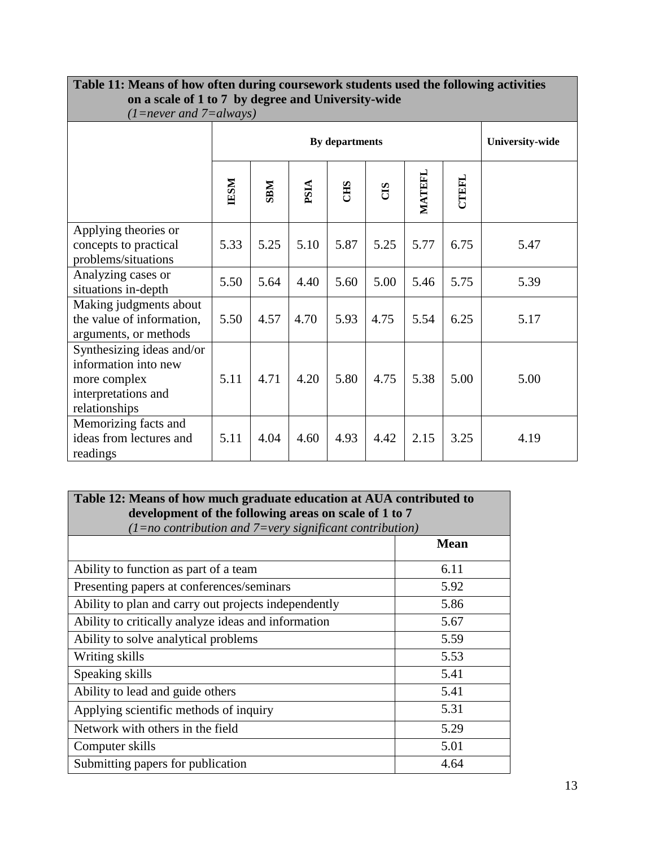| on a scale of 1 to 7 by degree and University-wide<br>$(1 = never and 7 = always)$                        |             |                |      |            |      |        |              |                        |
|-----------------------------------------------------------------------------------------------------------|-------------|----------------|------|------------|------|--------|--------------|------------------------|
|                                                                                                           |             | By departments |      |            |      |        |              | <b>University-wide</b> |
|                                                                                                           | <b>IESM</b> | <b>NRK</b>     | PSIA | <b>CHS</b> | CIS  | MATEFL | <b>CTEFL</b> |                        |
| Applying theories or<br>concepts to practical<br>problems/situations                                      | 5.33        | 5.25           | 5.10 | 5.87       | 5.25 | 5.77   | 6.75         | 5.47                   |
| Analyzing cases or<br>situations in-depth                                                                 | 5.50        | 5.64           | 4.40 | 5.60       | 5.00 | 5.46   | 5.75         | 5.39                   |
| Making judgments about<br>the value of information,<br>arguments, or methods                              | 5.50        | 4.57           | 4.70 | 5.93       | 4.75 | 5.54   | 6.25         | 5.17                   |
| Synthesizing ideas and/or<br>information into new<br>more complex<br>interpretations and<br>relationships | 5.11        | 4.71           | 4.20 | 5.80       | 4.75 | 5.38   | 5.00         | 5.00                   |
| Memorizing facts and<br>ideas from lectures and<br>readings                                               | 5.11        | 4.04           | 4.60 | 4.93       | 4.42 | 2.15   | 3.25         | 4.19                   |

# **Table 11: Means of how often during coursework students used the following activities**

## **Table 12: Means of how much graduate education at AUA contributed to development of the following areas on scale of 1 to 7**

| $(1=no$ contribution and $7=$ very significant contribution) |             |  |  |  |  |
|--------------------------------------------------------------|-------------|--|--|--|--|
|                                                              | <b>Mean</b> |  |  |  |  |
| Ability to function as part of a team                        | 6.11        |  |  |  |  |
| Presenting papers at conferences/seminars                    | 5.92        |  |  |  |  |
| Ability to plan and carry out projects independently         | 5.86        |  |  |  |  |
| Ability to critically analyze ideas and information          | 5.67        |  |  |  |  |
| Ability to solve analytical problems                         | 5.59        |  |  |  |  |
| Writing skills                                               | 5.53        |  |  |  |  |
| Speaking skills                                              | 5.41        |  |  |  |  |
| Ability to lead and guide others                             | 5.41        |  |  |  |  |
| Applying scientific methods of inquiry                       | 5.31        |  |  |  |  |
| Network with others in the field                             | 5.29        |  |  |  |  |
| Computer skills                                              | 5.01        |  |  |  |  |
| Submitting papers for publication                            | 4.64        |  |  |  |  |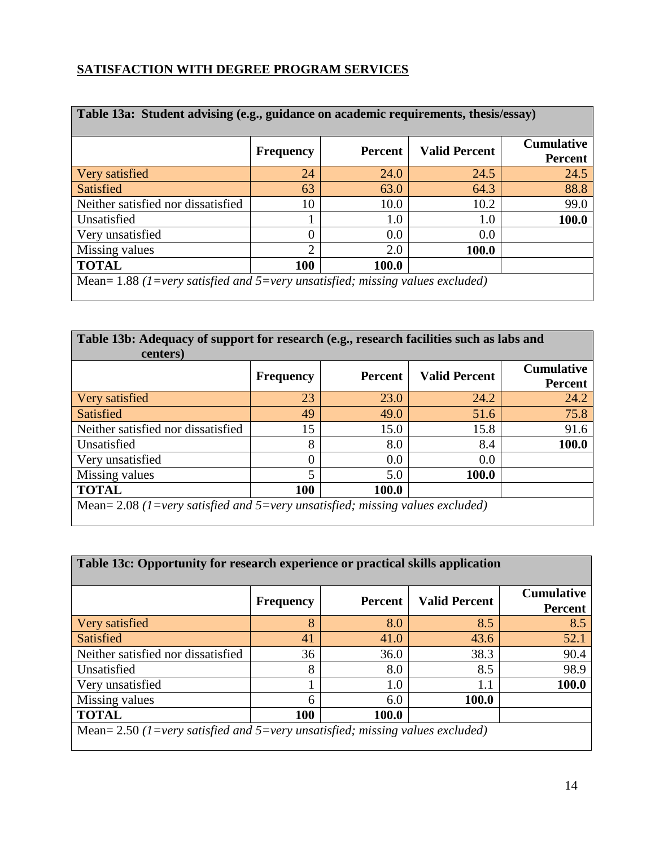### **SATISFACTION WITH DEGREE PROGRAM SERVICES**

| Table 13a: Student advising (e.g., guidance on academic requirements, thesis/essay) |                             |                |                      |                                     |  |
|-------------------------------------------------------------------------------------|-----------------------------|----------------|----------------------|-------------------------------------|--|
|                                                                                     | <b>Frequency</b>            | <b>Percent</b> | <b>Valid Percent</b> | <b>Cumulative</b><br><b>Percent</b> |  |
| Very satisfied                                                                      | 24                          | 24.0           | 24.5                 | 24.5                                |  |
| Satisfied                                                                           | 63                          | 63.0           | 64.3                 | 88.8                                |  |
| Neither satisfied nor dissatisfied                                                  | 10                          | 10.0           | 10.2                 | 99.0                                |  |
| Unsatisfied                                                                         |                             | 1.0            | 1.0                  | 100.0                               |  |
| Very unsatisfied                                                                    | $\Omega$                    | 0.0            | 0.0                  |                                     |  |
| Missing values                                                                      | $\mathcal{D}_{\mathcal{A}}$ | 2.0            | 100.0                |                                     |  |
| <b>TOTAL</b>                                                                        | 100                         | 100.0          |                      |                                     |  |
| Mean= $1.88$ (1=very satisfied and 5=very unsatisfied; missing values excluded)     |                             |                |                      |                                     |  |

| Table 13b: Adequacy of support for research (e.g., research facilities such as labs and<br>centers) |                  |         |                      |                                     |  |
|-----------------------------------------------------------------------------------------------------|------------------|---------|----------------------|-------------------------------------|--|
|                                                                                                     | <b>Frequency</b> | Percent | <b>Valid Percent</b> | <b>Cumulative</b><br><b>Percent</b> |  |
| Very satisfied                                                                                      | 23               | 23.0    | 24.2                 | 24.2                                |  |
| Satisfied                                                                                           | 49               | 49.0    | 51.6                 | 75.8                                |  |
| Neither satisfied nor dissatisfied                                                                  | 15               | 15.0    | 15.8                 | 91.6                                |  |
| Unsatisfied                                                                                         | 8                | 8.0     | 8.4                  | 100.0                               |  |
| Very unsatisfied                                                                                    | $\Omega$         | 0.0     | 0.0                  |                                     |  |
| Missing values                                                                                      | 5                | 5.0     | <b>100.0</b>         |                                     |  |
| <b>TOTAL</b>                                                                                        | 100              | 100.0   |                      |                                     |  |
| Mean= 2.08 (1=very satisfied and 5=very unsatisfied; missing values excluded)                       |                  |         |                      |                                     |  |

<u> 1980 - Johann Stoff, deutscher Stoffen und der Stoffen und der Stoffen und der Stoffen und der Stoffen und d</u>

## **Table 13c: Opportunity for research experience or practical skills application**

|                                                                                 | <b>Frequency</b> | Percent | <b>Valid Percent</b> | <b>Cumulative</b><br><b>Percent</b> |
|---------------------------------------------------------------------------------|------------------|---------|----------------------|-------------------------------------|
| Very satisfied                                                                  | 8                | 8.0     | 8.5                  | 8.5                                 |
| <b>Satisfied</b>                                                                | 41               | 41.0    | 43.6                 | 52.1                                |
| Neither satisfied nor dissatisfied                                              | 36               | 36.0    | 38.3                 | 90.4                                |
| Unsatisfied                                                                     | 8                | 8.0     | 8.5                  | 98.9                                |
| Very unsatisfied                                                                |                  | 1.0     | 1.1                  | 100.0                               |
| Missing values                                                                  | 6                | 6.0     | 100.0                |                                     |
| <b>TOTAL</b>                                                                    | 100              | 100.0   |                      |                                     |
| Mean= $2.50$ (1=very satisfied and 5=very unsatisfied; missing values excluded) |                  |         |                      |                                     |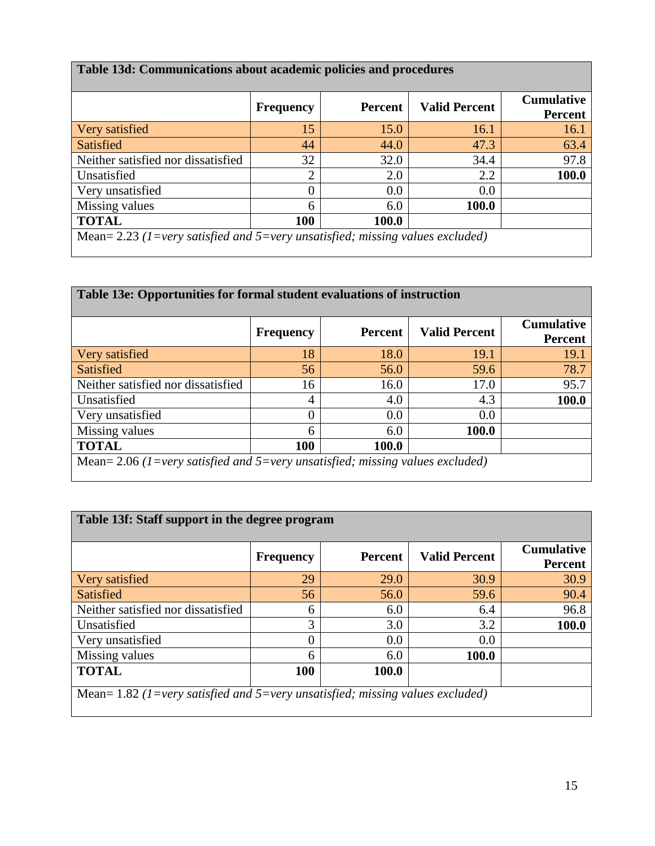| Table 13d: Communications about academic policies and procedures |  |
|------------------------------------------------------------------|--|
|------------------------------------------------------------------|--|

|                                                                               | <b>Frequency</b> | <b>Percent</b> | <b>Valid Percent</b> | <b>Cumulative</b><br><b>Percent</b> |  |
|-------------------------------------------------------------------------------|------------------|----------------|----------------------|-------------------------------------|--|
| Very satisfied                                                                | 15               | 15.0           | 16.1                 | 16.1                                |  |
| Satisfied                                                                     | 44               | 44.0           | 47.3                 | 63.4                                |  |
| Neither satisfied nor dissatisfied                                            | 32               | 32.0           | 34.4                 | 97.8                                |  |
| Unsatisfied                                                                   | $\overline{2}$   | 2.0            | 2.2                  | 100.0                               |  |
| Very unsatisfied                                                              | $\overline{0}$   | 0.0            | 0.0                  |                                     |  |
| Missing values                                                                | 6                | 6.0            | 100.0                |                                     |  |
| <b>TOTAL</b>                                                                  | 100              | 100.0          |                      |                                     |  |
| Mean= 2.23 (1=very satisfied and 5=very unsatisfied; missing values excluded) |                  |                |                      |                                     |  |

| Table 13e: Opportunities for formal student evaluations of instruction          |                  |         |                      |                                     |  |
|---------------------------------------------------------------------------------|------------------|---------|----------------------|-------------------------------------|--|
|                                                                                 | <b>Frequency</b> | Percent | <b>Valid Percent</b> | <b>Cumulative</b><br><b>Percent</b> |  |
| Very satisfied                                                                  | 18               | 18.0    | 19.1                 | 19.1                                |  |
| <b>Satisfied</b>                                                                | 56               | 56.0    | 59.6                 | 78.7                                |  |
| Neither satisfied nor dissatisfied                                              | 16               | 16.0    | 17.0                 | 95.7                                |  |
| Unsatisfied                                                                     | 4                | 4.0     | 4.3                  | 100.0                               |  |
| Very unsatisfied                                                                | 0                | 0.0     | 0.0                  |                                     |  |
| Missing values                                                                  | 6                | 6.0     | 100.0                |                                     |  |
| <b>TOTAL</b>                                                                    | 100              | 100.0   |                      |                                     |  |
| Mean= $2.06$ (1=very satisfied and 5=very unsatisfied; missing values excluded) |                  |         |                      |                                     |  |

| Table 13f: Staff support in the degree program                                  |                  |                |                      |                                     |  |  |
|---------------------------------------------------------------------------------|------------------|----------------|----------------------|-------------------------------------|--|--|
|                                                                                 | <b>Frequency</b> | <b>Percent</b> | <b>Valid Percent</b> | <b>Cumulative</b><br><b>Percent</b> |  |  |
| Very satisfied                                                                  | 29               | 29.0           | 30.9                 | 30.9                                |  |  |
| <b>Satisfied</b>                                                                | 56               | 56.0           | 59.6                 | 90.4                                |  |  |
| Neither satisfied nor dissatisfied                                              | 6                | 6.0            | 6.4                  | 96.8                                |  |  |
| Unsatisfied                                                                     | 3                | 3.0            | 3.2                  | 100.0                               |  |  |
| Very unsatisfied                                                                | 0                | 0.0            | 0.0                  |                                     |  |  |
| Missing values                                                                  | 6                | 6.0            | 100.0                |                                     |  |  |
| <b>TOTAL</b><br>100<br>100.0                                                    |                  |                |                      |                                     |  |  |
| Mean= $1.82$ (1=very satisfied and 5=very unsatisfied; missing values excluded) |                  |                |                      |                                     |  |  |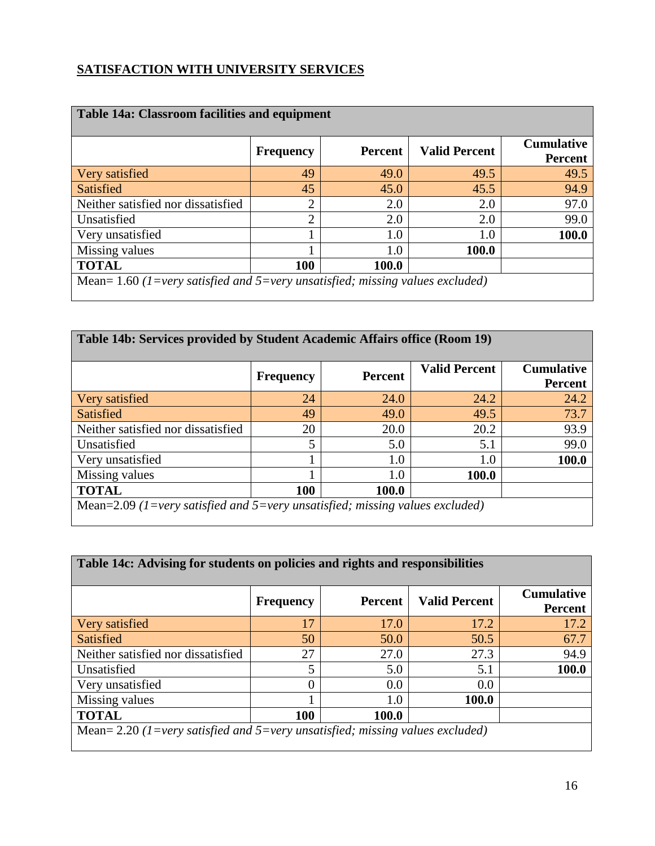### **SATISFACTION WITH UNIVERSITY SERVICES**

| <b>Table 14a: Classroom facilities and equipment</b>                            | <b>Frequency</b> | <b>Percent</b> | <b>Valid Percent</b> | <b>Cumulative</b> |  |
|---------------------------------------------------------------------------------|------------------|----------------|----------------------|-------------------|--|
|                                                                                 |                  |                |                      | <b>Percent</b>    |  |
| Very satisfied                                                                  | 49               | 49.0           | 49.5                 | 49.5              |  |
| Satisfied                                                                       | 45               | 45.0           | 45.5                 | 94.9              |  |
| Neither satisfied nor dissatisfied                                              | $\overline{2}$   | 2.0            | 2.0                  | 97.0              |  |
| Unsatisfied                                                                     | $\overline{2}$   | 2.0            | 2.0                  | 99.0              |  |
| Very unsatisfied                                                                |                  | 1.0            | 1.0                  | 100.0             |  |
| Missing values                                                                  |                  | 1.0            | 100.0                |                   |  |
| <b>TOTAL</b>                                                                    | 100              | 100.0          |                      |                   |  |
| Mean= $1.60$ (1=very satisfied and 5=very unsatisfied; missing values excluded) |                  |                |                      |                   |  |

| Table 14b: Services provided by Student Academic Affairs office (Room 19)    |                  |                |                      |                                     |  |
|------------------------------------------------------------------------------|------------------|----------------|----------------------|-------------------------------------|--|
|                                                                              | <b>Frequency</b> | <b>Percent</b> | <b>Valid Percent</b> | <b>Cumulative</b><br><b>Percent</b> |  |
| Very satisfied                                                               | 24               | 24.0           | 24.2                 | 24.2                                |  |
| Satisfied                                                                    | 49               | 49.0           | 49.5                 | 73.7                                |  |
| Neither satisfied nor dissatisfied                                           | 20               | 20.0           | 20.2                 | 93.9                                |  |
| Unsatisfied                                                                  | 5                | 5.0            | 5.1                  | 99.0                                |  |
| Very unsatisfied                                                             |                  | 1.0            | 1.0                  | 100.0                               |  |
| Missing values                                                               |                  | 1.0            | 100.0                |                                     |  |
| <b>TOTAL</b>                                                                 | 100              | 100.0          |                      |                                     |  |
| Mean=2.09 (1=very satisfied and 5=very unsatisfied; missing values excluded) |                  |                |                      |                                     |  |

<u> 1989 - Johann Stoff, deutscher Stoffen und der Stoffen und der Stoffen und der Stoffen und der Stoffen und der</u>

## **Table 14c: Advising for students on policies and rights and responsibilities**

|                                                                                 | <b>Frequency</b> | Percent | <b>Valid Percent</b> | <b>Cumulative</b><br><b>Percent</b> |  |
|---------------------------------------------------------------------------------|------------------|---------|----------------------|-------------------------------------|--|
| Very satisfied                                                                  | 17               | 17.0    | 17.2                 | 17.2                                |  |
| Satisfied                                                                       | 50               | 50.0    | 50.5                 | 67.7                                |  |
| Neither satisfied nor dissatisfied                                              | 27               | 27.0    | 27.3                 | 94.9                                |  |
| Unsatisfied                                                                     | 5                | 5.0     | 5.1                  | 100.0                               |  |
| Very unsatisfied                                                                |                  | 0.0     | 0.0                  |                                     |  |
| Missing values                                                                  |                  | 1.0     | 100.0                |                                     |  |
| <b>TOTAL</b>                                                                    | 100              | 100.0   |                      |                                     |  |
| Mean= $2.20$ (1=very satisfied and 5=very unsatisfied; missing values excluded) |                  |         |                      |                                     |  |

ń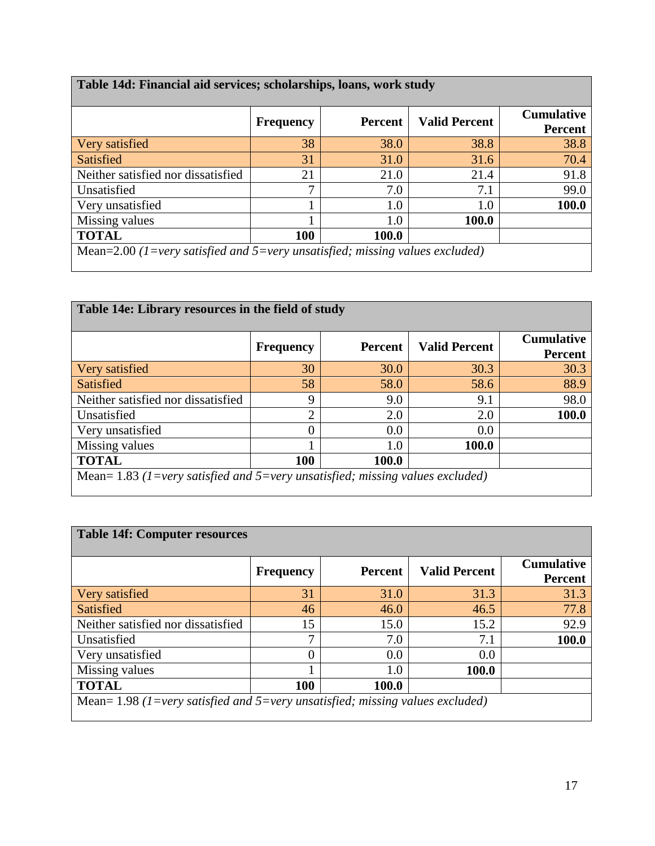| Table 14d: Financial aid services; scholarships, loans, work study           |                  |                |                      |                                     |  |
|------------------------------------------------------------------------------|------------------|----------------|----------------------|-------------------------------------|--|
|                                                                              | <b>Frequency</b> | <b>Percent</b> | <b>Valid Percent</b> | <b>Cumulative</b><br><b>Percent</b> |  |
| Very satisfied                                                               | 38               | 38.0           | 38.8                 | 38.8                                |  |
| Satisfied                                                                    | 31               | 31.0           | 31.6                 | 70.4                                |  |
| Neither satisfied nor dissatisfied                                           | 21               | 21.0           | 21.4                 | 91.8                                |  |
| Unsatisfied                                                                  | 7                | 7.0            | 7.1                  | 99.0                                |  |
| Very unsatisfied                                                             |                  | 1.0            | $1.0\,$              | 100.0                               |  |
| Missing values                                                               |                  | 1.0            | 100.0                |                                     |  |
| <b>TOTAL</b>                                                                 | 100              | 100.0          |                      |                                     |  |
| Mean=2.00 (1=very satisfied and 5=very unsatisfied; missing values excluded) |                  |                |                      |                                     |  |

| Table 14e: Library resources in the field of study                            |                  |                |                      |                                     |  |
|-------------------------------------------------------------------------------|------------------|----------------|----------------------|-------------------------------------|--|
|                                                                               | <b>Frequency</b> | <b>Percent</b> | <b>Valid Percent</b> | <b>Cumulative</b><br><b>Percent</b> |  |
| Very satisfied                                                                | 30               | 30.0           | 30.3                 | 30.3                                |  |
| Satisfied                                                                     | 58               | 58.0           | 58.6                 | 88.9                                |  |
| Neither satisfied nor dissatisfied                                            | 9                | 9.0            | 9.1                  | 98.0                                |  |
| Unsatisfied                                                                   | ↑                | 2.0            | 2.0                  | 100.0                               |  |
| Very unsatisfied                                                              | 0                | 0.0            | 0.0                  |                                     |  |
| Missing values                                                                |                  | 1.0            | 100.0                |                                     |  |
| <b>TOTAL</b>                                                                  | 100              | 100.0          |                      |                                     |  |
| Mean= 1.83 (1=very satisfied and 5=very unsatisfied; missing values excluded) |                  |                |                      |                                     |  |

| <b>Table 14f: Computer resources</b>                                            |                  |                |                      |                                     |  |  |
|---------------------------------------------------------------------------------|------------------|----------------|----------------------|-------------------------------------|--|--|
|                                                                                 | <b>Frequency</b> | <b>Percent</b> | <b>Valid Percent</b> | <b>Cumulative</b><br><b>Percent</b> |  |  |
| Very satisfied                                                                  | 31               | 31.0           | 31.3                 | 31.3                                |  |  |
| <b>Satisfied</b>                                                                | 46               | 46.0           | 46.5                 | 77.8                                |  |  |
| Neither satisfied nor dissatisfied                                              | 15               | 15.0           | 15.2                 | 92.9                                |  |  |
| Unsatisfied                                                                     | 7                | 7.0            | 7.1                  | 100.0                               |  |  |
| Very unsatisfied                                                                | 0                | 0.0            | 0.0                  |                                     |  |  |
| Missing values                                                                  |                  | 1.0            | 100.0                |                                     |  |  |
| <b>TOTAL</b>                                                                    | 100              | <b>100.0</b>   |                      |                                     |  |  |
| Mean= $1.98$ (1=very satisfied and 5=very unsatisfied; missing values excluded) |                  |                |                      |                                     |  |  |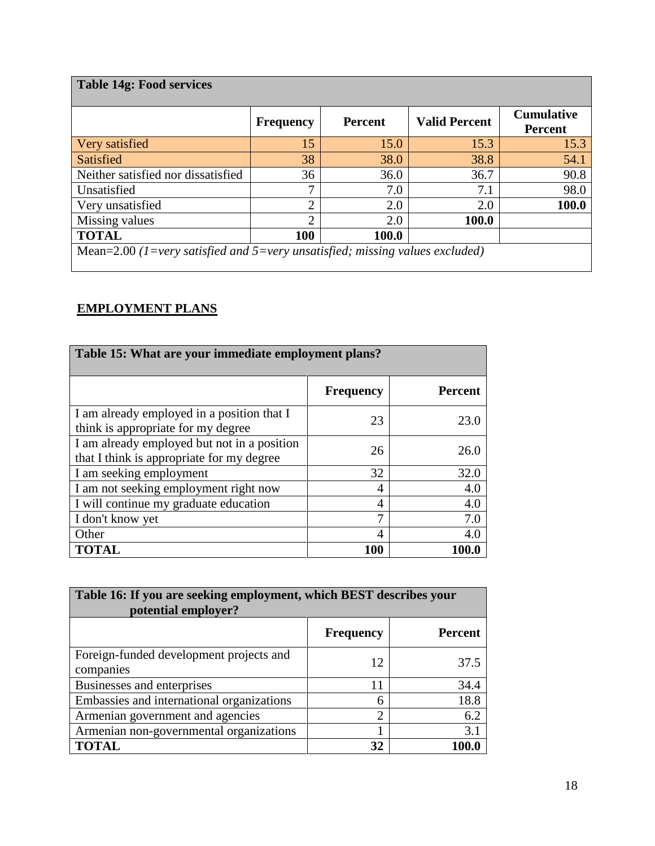| <b>Table 14g: Food services</b>                                              |                  |                |                      |                                     |
|------------------------------------------------------------------------------|------------------|----------------|----------------------|-------------------------------------|
|                                                                              | <b>Frequency</b> | <b>Percent</b> | <b>Valid Percent</b> | <b>Cumulative</b><br><b>Percent</b> |
| Very satisfied                                                               | 15               | 15.0           | 15.3                 | 15.3                                |
| Satisfied                                                                    | 38               | 38.0           | 38.8                 | 54.1                                |
| Neither satisfied nor dissatisfied                                           | 36               | 36.0           | 36.7                 | 90.8                                |
| Unsatisfied                                                                  | 7                | 7.0            | 7.1                  | 98.0                                |
| Very unsatisfied                                                             | $\overline{2}$   | 2.0            | 2.0                  | 100.0                               |
| Missing values                                                               | $\overline{2}$   | 2.0            | 100.0                |                                     |
| <b>TOTAL</b>                                                                 | 100              | 100.0          |                      |                                     |
| Mean=2.00 (1=very satisfied and 5=very unsatisfied; missing values excluded) |                  |                |                      |                                     |

## **EMPLOYMENT PLANS**

| Table 15: What are your immediate employment plans?                                      |                  |                |  |  |  |
|------------------------------------------------------------------------------------------|------------------|----------------|--|--|--|
|                                                                                          | <b>Frequency</b> | <b>Percent</b> |  |  |  |
| I am already employed in a position that I<br>think is appropriate for my degree         | 23               | 23.0           |  |  |  |
| I am already employed but not in a position<br>that I think is appropriate for my degree | 26               | 26.0           |  |  |  |
| I am seeking employment                                                                  | 32               | 32.0           |  |  |  |
| I am not seeking employment right now                                                    | 4                | 4.0            |  |  |  |
| I will continue my graduate education                                                    | 4                | 4.0            |  |  |  |
| I don't know yet                                                                         | ⇁                | 7.0            |  |  |  |
| Other                                                                                    | 4                | 4.0            |  |  |  |
| <b>TOTAL</b>                                                                             | 100              |                |  |  |  |

| Table 16: If you are seeking employment, which BEST describes your<br>potential employer? |                  |                |  |  |
|-------------------------------------------------------------------------------------------|------------------|----------------|--|--|
|                                                                                           | <b>Frequency</b> | <b>Percent</b> |  |  |
| Foreign-funded development projects and<br>companies                                      | 12               | 37.5           |  |  |
| Businesses and enterprises                                                                |                  | 34.4           |  |  |
| Embassies and international organizations                                                 | 6                | 18.8           |  |  |
| Armenian government and agencies                                                          | $\overline{2}$   | 6.2            |  |  |
| Armenian non-governmental organizations                                                   |                  | 3.1            |  |  |
| <b>TOTAL</b>                                                                              | 32               |                |  |  |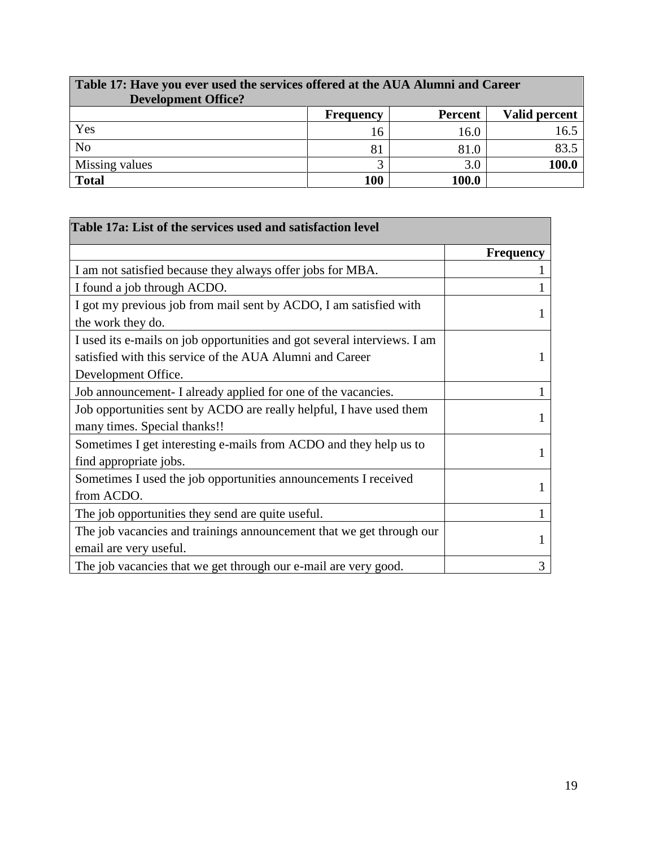| Table 17: Have you ever used the services offered at the AUA Alumni and Career<br><b>Development Office?</b> |                  |                |               |  |  |
|--------------------------------------------------------------------------------------------------------------|------------------|----------------|---------------|--|--|
|                                                                                                              | <b>Frequency</b> | <b>Percent</b> | Valid percent |  |  |
| Yes                                                                                                          | 16               | 16.0           | 16.5          |  |  |
| N <sub>o</sub>                                                                                               | 81               | 81.0           | 83.5          |  |  |
| Missing values                                                                                               | ⌒                | 3.0            | 100.0         |  |  |
| <b>Total</b>                                                                                                 | 100              | 100.0          |               |  |  |

E

| Table 17a: List of the services used and satisfaction level              |                  |
|--------------------------------------------------------------------------|------------------|
|                                                                          | <b>Frequency</b> |
| I am not satisfied because they always offer jobs for MBA.               |                  |
| I found a job through ACDO.                                              |                  |
| I got my previous job from mail sent by ACDO, I am satisfied with        |                  |
| the work they do.                                                        |                  |
| I used its e-mails on job opportunities and got several interviews. I am |                  |
| satisfied with this service of the AUA Alumni and Career                 |                  |
| Development Office.                                                      |                  |
| Job announcement- I already applied for one of the vacancies.            |                  |
| Job opportunities sent by ACDO are really helpful, I have used them      |                  |
| many times. Special thanks!!                                             |                  |
| Sometimes I get interesting e-mails from ACDO and they help us to        |                  |
| find appropriate jobs.                                                   |                  |
| Sometimes I used the job opportunities announcements I received          |                  |
| from ACDO.                                                               |                  |
| The job opportunities they send are quite useful.                        |                  |
| The job vacancies and trainings announcement that we get through our     |                  |
| email are very useful.                                                   | L                |
| The job vacancies that we get through our e-mail are very good.          | 3                |